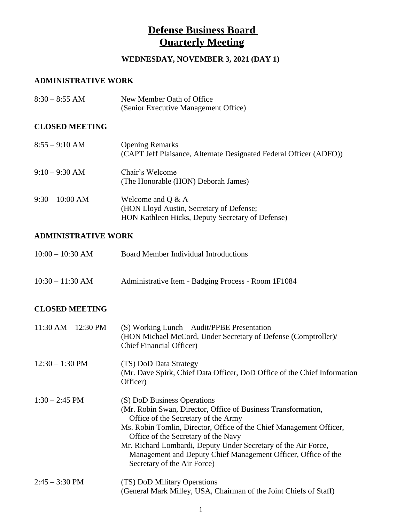### WEDNESDAY, NOVEMBER 3, 2021 (DAY 1)

### **ADMINISTRATIVE WORK**

| $8:30 - 8:55$ AM | New Member Oath of Office            |
|------------------|--------------------------------------|
|                  | (Senior Executive Management Office) |

#### **CLOSED MEETING**

| $8:55 - 9:10$ AM | <b>Opening Remarks</b><br>(CAPT Jeff Plaisance, Alternate Designated Federal Officer (ADFO))                        |
|------------------|---------------------------------------------------------------------------------------------------------------------|
| $9:10 - 9:30$ AM | Chair's Welcome<br>(The Honorable (HON) Deborah James)                                                              |
| $9:30-10:00$ AM  | Welcome and $Q & A$<br>(HON Lloyd Austin, Secretary of Defense;<br>HON Kathleen Hicks, Deputy Secretary of Defense) |

#### **ADMINISTRATIVE WORK**

| $10:00 - 10:30$ AM | Board Member Individual Introductions               |
|--------------------|-----------------------------------------------------|
| $10:30 - 11:30$ AM | Administrative Item - Badging Process - Room 1F1084 |

### **CLOSED MEETING**

| $11:30$ AM $- 12:30$ PM  | $(S)$ Working Lunch – Audit/PPBE Presentation<br>(HON Michael McCord, Under Secretary of Defense (Comptroller)/<br><b>Chief Financial Officer)</b>                                                                                                                                                                                                                                                                  |
|--------------------------|---------------------------------------------------------------------------------------------------------------------------------------------------------------------------------------------------------------------------------------------------------------------------------------------------------------------------------------------------------------------------------------------------------------------|
| $12:30 - 1:30$ PM        | (TS) DoD Data Strategy<br>(Mr. Dave Spirk, Chief Data Officer, DoD Office of the Chief Information<br>Officer)                                                                                                                                                                                                                                                                                                      |
| $1:30 - 2:45$ PM         | (S) DoD Business Operations<br>(Mr. Robin Swan, Director, Office of Business Transformation,<br>Office of the Secretary of the Army<br>Ms. Robin Tomlin, Director, Office of the Chief Management Officer,<br>Office of the Secretary of the Navy<br>Mr. Richard Lombardi, Deputy Under Secretary of the Air Force,<br>Management and Deputy Chief Management Officer, Office of the<br>Secretary of the Air Force) |
| $2:45 - 3:30 \text{ PM}$ | (TS) DoD Military Operations<br>(General Mark Milley, USA, Chairman of the Joint Chiefs of Staff)                                                                                                                                                                                                                                                                                                                   |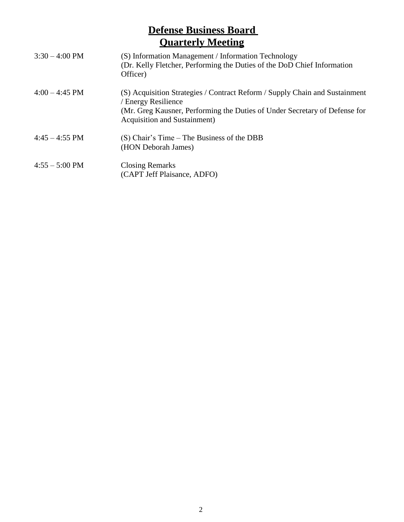| $3:30 - 4:00 \text{ PM}$ | (S) Information Management / Information Technology<br>(Dr. Kelly Fletcher, Performing the Duties of the DoD Chief Information<br>Officer)                                                                               |
|--------------------------|--------------------------------------------------------------------------------------------------------------------------------------------------------------------------------------------------------------------------|
| $4:00 - 4:45$ PM         | (S) Acquisition Strategies / Contract Reform / Supply Chain and Sustainment<br>/ Energy Resilience<br>(Mr. Greg Kausner, Performing the Duties of Under Secretary of Defense for<br><b>Acquisition and Sustainment</b> ) |
| $4:45 - 4:55 \text{ PM}$ | (S) Chair's Time – The Business of the DBB<br>(HON Deborah James)                                                                                                                                                        |
| $4:55 - 5:00 \text{ PM}$ | <b>Closing Remarks</b><br>(CAPT Jeff Plaisance, ADFO)                                                                                                                                                                    |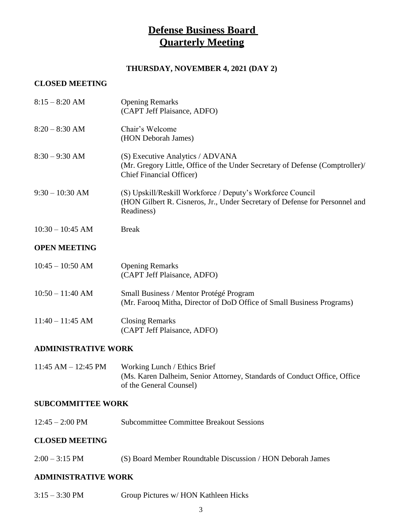#### **THURSDAY, NOVEMBER 4, 2021 (DAY 2)**

#### **CLOSED MEETING**

| $8:15 - 8:20$ AM    | <b>Opening Remarks</b><br>(CAPT Jeff Plaisance, ADFO)                                                                                                   |
|---------------------|---------------------------------------------------------------------------------------------------------------------------------------------------------|
| $8:20 - 8:30$ AM    | Chair's Welcome<br>(HON Deborah James)                                                                                                                  |
| $8:30 - 9:30$ AM    | (S) Executive Analytics / ADVANA<br>(Mr. Gregory Little, Office of the Under Secretary of Defense (Comptroller)/<br><b>Chief Financial Officer)</b>     |
| $9:30 - 10:30$ AM   | (S) Upskill/Reskill Workforce / Deputy's Workforce Council<br>(HON Gilbert R. Cisneros, Jr., Under Secretary of Defense for Personnel and<br>Readiness) |
| $10:30 - 10:45$ AM  | <b>Break</b>                                                                                                                                            |
| <b>OPEN MEETING</b> |                                                                                                                                                         |
| $10:45 - 10:50$ AM  | <b>Opening Remarks</b><br>(CAPT Jeff Plaisance, ADFO)                                                                                                   |
| $10:50 - 11:40$ AM  | Small Business / Mentor Protégé Program<br>(Mr. Farooq Mitha, Director of DoD Office of Small Business Programs)                                        |
|                     |                                                                                                                                                         |

### **ADMINISTRATIVE WORK**

11:45 AM – 12:45 PM Working Lunch / Ethics Brief (Ms. Karen Dalheim, Senior Attorney, Standards of Conduct Office, Office of the General Counsel)

#### **SUBCOMMITTEE WORK**

12:45 – 2:00 PM Subcommittee Committee Breakout Sessions

#### **CLOSED MEETING**

2:00 – 3:15 PM (S) Board Member Roundtable Discussion / HON Deborah James

#### **ADMINISTRATIVE WORK**

3:15 – 3:30 PM Group Pictures w/ HON Kathleen Hicks